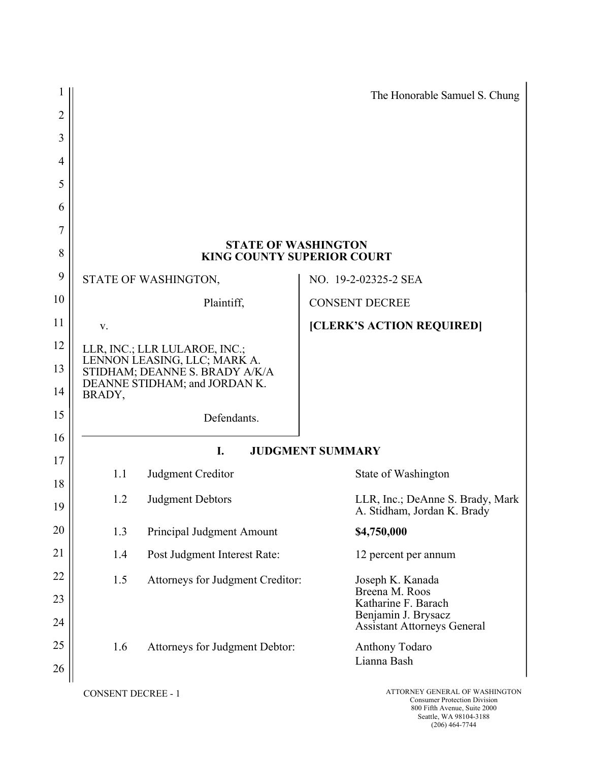|                |                           |                                                                                                 | The Honorable Samuel S. Chung                                   |
|----------------|---------------------------|-------------------------------------------------------------------------------------------------|-----------------------------------------------------------------|
| $\overline{2}$ |                           |                                                                                                 |                                                                 |
| 3              |                           |                                                                                                 |                                                                 |
| 4              |                           |                                                                                                 |                                                                 |
| 5              |                           |                                                                                                 |                                                                 |
| 6              |                           |                                                                                                 |                                                                 |
| 7              |                           |                                                                                                 |                                                                 |
| 8              |                           | <b>STATE OF WASHINGTON</b><br><b>KING COUNTY SUPERIOR COURT</b>                                 |                                                                 |
| 9              |                           | STATE OF WASHINGTON,                                                                            | NO. 19-2-02325-2 SEA                                            |
| 10             |                           | Plaintiff,                                                                                      | <b>CONSENT DECREE</b>                                           |
| 11             | V.                        |                                                                                                 | [CLERK'S ACTION REQUIRED]                                       |
| 12             |                           | LLR, INC.; LLR LULAROE, INC.;                                                                   |                                                                 |
| 13             |                           | LENNON LEASING, LLC; MARK A.<br>STIDHAM; DEANNE S. BRADY A/K/A<br>DEANNE STIDHAM; and JORDAN K. |                                                                 |
| 14             | BRADY,                    |                                                                                                 |                                                                 |
| 15             |                           | Defendants.                                                                                     |                                                                 |
| 16             |                           | I.                                                                                              | <b>JUDGMENT SUMMARY</b>                                         |
| 17<br>18       | 1.1                       | Judgment Creditor                                                                               | State of Washington                                             |
| 19             | 1.2                       | <b>Judgment Debtors</b>                                                                         | LLR, Inc.; DeAnne S. Brady, Mark<br>A. Stidham, Jordan K. Brady |
| 20             | 1.3                       | Principal Judgment Amount                                                                       | \$4,750,000                                                     |
| 21             | 1.4                       | Post Judgment Interest Rate:                                                                    | 12 percent per annum                                            |
| 22             | 1.5                       | Attorneys for Judgment Creditor:                                                                | Joseph K. Kanada                                                |
| 23             |                           |                                                                                                 | Breena M. Roos<br>Katharine F. Barach                           |
| 24             |                           |                                                                                                 | Benjamin J. Brysacz<br><b>Assistant Attorneys General</b>       |
| 25             | 1.6                       | Attorneys for Judgment Debtor:                                                                  | <b>Anthony Todaro</b>                                           |
| 26             |                           |                                                                                                 | Lianna Bash                                                     |
|                | <b>CONSENT DECREE - 1</b> |                                                                                                 | ATTORNEY GENERAL OF WASHINGTON                                  |

Consumer Protection Division 800 Fifth Avenue, Suite 2000 Seattle, WA 98104-3188 (206) 464-7744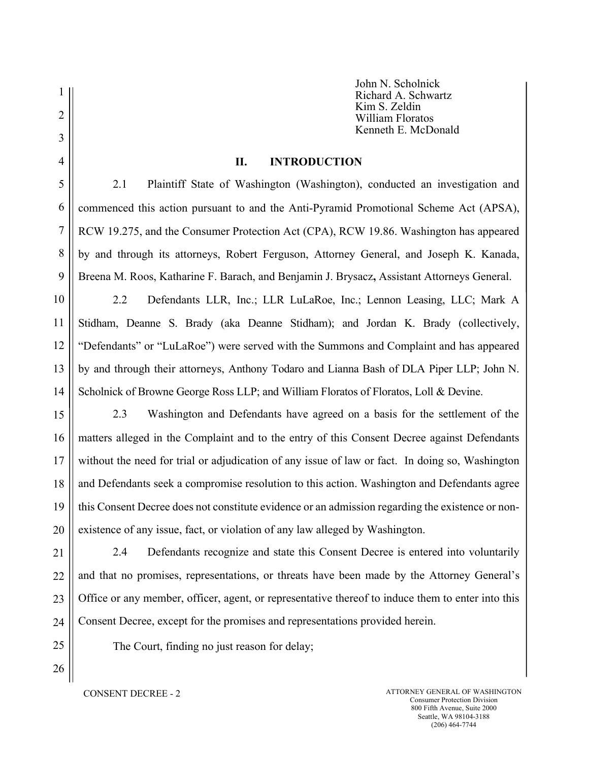John N. Scholnick Richard A. Schwartz Kim S. Zeldin William Floratos Kenneth E. McDonald

### II. INTRODUCTION

2.1 Plaintiff State of Washington (Washington), conducted an investigation and commenced this action pursuant to and the Anti-Pyramid Promotional Scheme Act (APSA), RCW 19.275, and the Consumer Protection Act (CPA), RCW 19.86. Washington has appeared by and through its attorneys, Robert Ferguson, Attorney General, and Joseph K. Kanada, Breena M. Roos, Katharine F. Barach, and Benjamin J. Brysacz, Assistant Attorneys General.

10 11 12 13 14 2.2 Defendants LLR, Inc.; LLR LuLaRoe, Inc.; Lennon Leasing, LLC; Mark A Stidham, Deanne S. Brady (aka Deanne Stidham); and Jordan K. Brady (collectively, "Defendants" or "LuLaRoe") were served with the Summons and Complaint and has appeared by and through their attorneys, Anthony Todaro and Lianna Bash of DLA Piper LLP; John N. Scholnick of Browne George Ross LLP; and William Floratos of Floratos, Loll & Devine.

15 16 17 18 19 20 2.3 Washington and Defendants have agreed on a basis for the settlement of the matters alleged in the Complaint and to the entry of this Consent Decree against Defendants without the need for trial or adjudication of any issue of law or fact. In doing so, Washington and Defendants seek a compromise resolution to this action. Washington and Defendants agree this Consent Decree does not constitute evidence or an admission regarding the existence or nonexistence of any issue, fact, or violation of any law alleged by Washington.

21 22 23 24 2.4 Defendants recognize and state this Consent Decree is entered into voluntarily and that no promises, representations, or threats have been made by the Attorney General's Office or any member, officer, agent, or representative thereof to induce them to enter into this Consent Decree, except for the promises and representations provided herein.

25 26

1

2

3

4

5

6

7

8

9

The Court, finding no just reason for delay;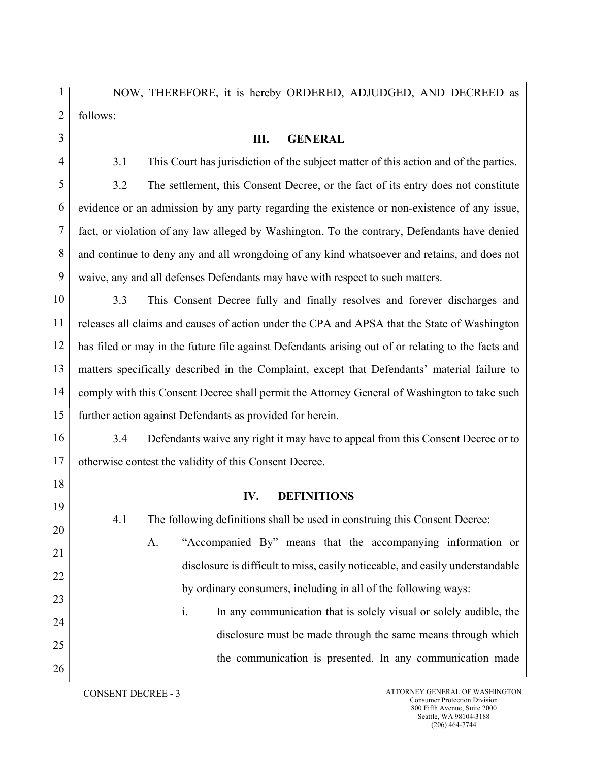| $1$ |                        | NOW, THEREFORE, it is hereby ORDERED, ADJUDGED, AND DECREED as |  |  |  |
|-----|------------------------|----------------------------------------------------------------|--|--|--|
|     | $2 \parallel$ follows: |                                                                |  |  |  |

| 3              | Ш.<br><b>GENERAL</b>                                                                               |
|----------------|----------------------------------------------------------------------------------------------------|
| 4              | 3.1<br>This Court has jurisdiction of the subject matter of this action and of the parties.        |
| 5              | 3.2<br>The settlement, this Consent Decree, or the fact of its entry does not constitute           |
| 6              | evidence or an admission by any party regarding the existence or non-existence of any issue,       |
| $\overline{7}$ | fact, or violation of any law alleged by Washington. To the contrary, Defendants have denied       |
| 8              | and continue to deny any and all wrongdoing of any kind whatsoever and retains, and does not       |
| 9              | waive, any and all defenses Defendants may have with respect to such matters.                      |
| 10             | 3.3<br>This Consent Decree fully and finally resolves and forever discharges and                   |
| 11             | releases all claims and causes of action under the CPA and APSA that the State of Washington       |
| 12             | has filed or may in the future file against Defendants arising out of or relating to the facts and |
| 13             | matters specifically described in the Complaint, except that Defendants' material failure to       |
| 14             | comply with this Consent Decree shall permit the Attorney General of Washington to take such       |
| 15             | further action against Defendants as provided for herein.                                          |
| 16             | 3.4<br>Defendants waive any right it may have to appeal from this Consent Decree or to             |
| 17             | otherwise contest the validity of this Consent Decree.                                             |
| 18             |                                                                                                    |

# IV. DEFINITIONS

4.1 The following definitions shall be used in construing this Consent Decree:

A. "Accompanied By" means that the accompanying information or disclosure is difficult to miss, easily noticeable, and easily understandable by ordinary consumers, including in all of the following ways:

i. In any communication that is solely visual or solely audible, the disclosure must be made through the same means through which the communication is presented. In any communication made

19

20

21

22

23

24

25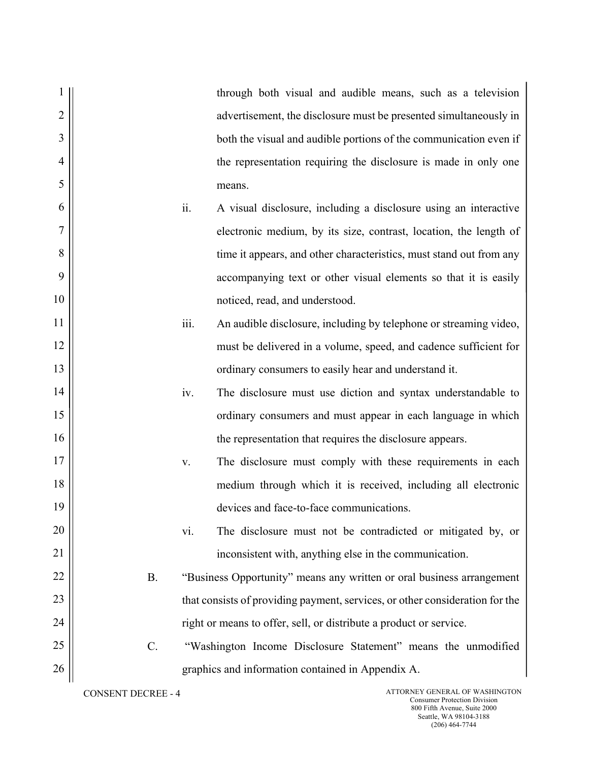|                |           |      | through both visual and audible means, such as a television                  |
|----------------|-----------|------|------------------------------------------------------------------------------|
| $\overline{2}$ |           |      | advertisement, the disclosure must be presented simultaneously in            |
| 3              |           |      | both the visual and audible portions of the communication even if            |
| $\overline{4}$ |           |      | the representation requiring the disclosure is made in only one              |
| 5              |           |      | means.                                                                       |
| 6              |           | ii.  | A visual disclosure, including a disclosure using an interactive             |
| 7              |           |      | electronic medium, by its size, contrast, location, the length of            |
| 8              |           |      | time it appears, and other characteristics, must stand out from any          |
| 9              |           |      | accompanying text or other visual elements so that it is easily              |
| 10             |           |      | noticed, read, and understood.                                               |
| 11             |           | iii. | An audible disclosure, including by telephone or streaming video,            |
| 12             |           |      | must be delivered in a volume, speed, and cadence sufficient for             |
| 13             |           |      | ordinary consumers to easily hear and understand it.                         |
| 14             |           | iv.  | The disclosure must use diction and syntax understandable to                 |
| 15             |           |      | ordinary consumers and must appear in each language in which                 |
| 16             |           |      | the representation that requires the disclosure appears.                     |
| 17             |           | V.   | The disclosure must comply with these requirements in each                   |
| 18             |           |      | medium through which it is received, including all electronic                |
| 19             |           |      | devices and face-to-face communications.                                     |
| 20             |           | vi.  | The disclosure must not be contradicted or mitigated by, or                  |
| 21             |           |      | inconsistent with, anything else in the communication.                       |
| 22             | <b>B.</b> |      | "Business Opportunity" means any written or oral business arrangement        |
| 23             |           |      | that consists of providing payment, services, or other consideration for the |
| 24             |           |      | right or means to offer, sell, or distribute a product or service.           |
| 25             | $C$ .     |      | "Washington Income Disclosure Statement" means the unmodified                |
| 26             |           |      | graphics and information contained in Appendix A.                            |
|                |           |      |                                                                              |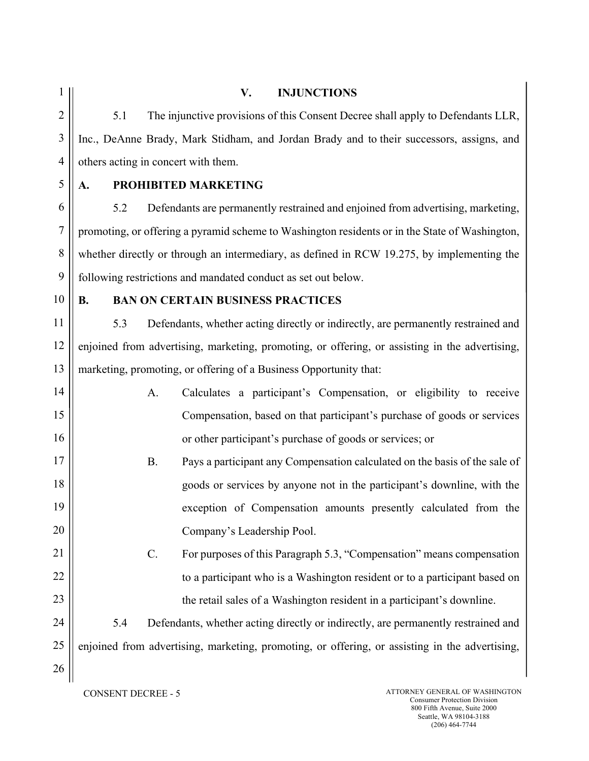3

4

# V. INJUNCTIONS

5.1 The injunctive provisions of this Consent Decree shall apply to Defendants LLR, Inc., DeAnne Brady, Mark Stidham, and Jordan Brady and to their successors, assigns, and others acting in concert with them.

5

6

7

8

9

# A. PROHIBITED MARKETING

5.2 Defendants are permanently restrained and enjoined from advertising, marketing, promoting, or offering a pyramid scheme to Washington residents or in the State of Washington, whether directly or through an intermediary, as defined in RCW 19.275, by implementing the following restrictions and mandated conduct as set out below.

10

17

18

19

20

21

22

23

24

25

26

# B. BAN ON CERTAIN BUSINESS PRACTICES

11 12 13 5.3 Defendants, whether acting directly or indirectly, are permanently restrained and enjoined from advertising, marketing, promoting, or offering, or assisting in the advertising, marketing, promoting, or offering of a Business Opportunity that:

- 14 15 16 A. Calculates a participant's Compensation, or eligibility to receive Compensation, based on that participant's purchase of goods or services or other participant's purchase of goods or services; or
	- B. Pays a participant any Compensation calculated on the basis of the sale of goods or services by anyone not in the participant's downline, with the exception of Compensation amounts presently calculated from the Company's Leadership Pool.
	- C. For purposes of this Paragraph 5.3, "Compensation" means compensation to a participant who is a Washington resident or to a participant based on the retail sales of a Washington resident in a participant's downline.

5.4 Defendants, whether acting directly or indirectly, are permanently restrained and enjoined from advertising, marketing, promoting, or offering, or assisting in the advertising,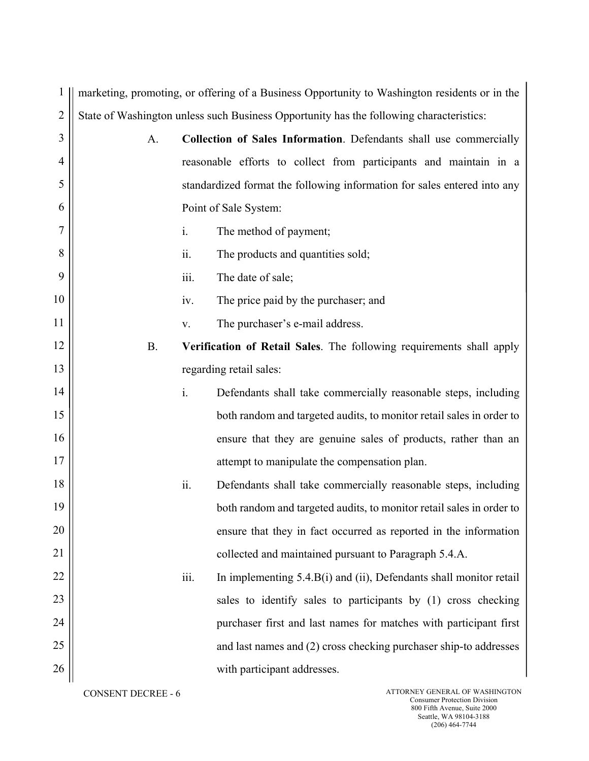1 marketing, promoting, or offering of a Business Opportunity to Washington residents or in the 2 State of Washington unless such Business Opportunity has the following characteristics:

| 3              | A.        |      | Collection of Sales Information. Defendants shall use commercially       |
|----------------|-----------|------|--------------------------------------------------------------------------|
| $\overline{4}$ |           |      | reasonable efforts to collect from participants and maintain in a        |
| 5              |           |      | standardized format the following information for sales entered into any |
| 6              |           |      | Point of Sale System:                                                    |
| 7              |           | i.   | The method of payment;                                                   |
| 8              |           | ii.  | The products and quantities sold;                                        |
| 9              |           | iii. | The date of sale;                                                        |
| 10             |           | iv.  | The price paid by the purchaser; and                                     |
| 11             |           | V.   | The purchaser's e-mail address.                                          |
| 12             | <b>B.</b> |      | Verification of Retail Sales. The following requirements shall apply     |
| 13             |           |      | regarding retail sales:                                                  |
| 14             |           | i.   | Defendants shall take commercially reasonable steps, including           |
| 15             |           |      | both random and targeted audits, to monitor retail sales in order to     |
| 16             |           |      | ensure that they are genuine sales of products, rather than an           |
| 17             |           |      | attempt to manipulate the compensation plan.                             |
| 18             |           | ii.  | Defendants shall take commercially reasonable steps, including           |
| 19             |           |      | both random and targeted audits, to monitor retail sales in order to     |
| 20             |           |      | ensure that they in fact occurred as reported in the information         |
| 21             |           |      | collected and maintained pursuant to Paragraph 5.4.A.                    |
| 22             |           | iii. | In implementing 5.4.B(i) and (ii), Defendants shall monitor retail       |
| 23             |           |      | sales to identify sales to participants by (1) cross checking            |
| 24             |           |      | purchaser first and last names for matches with participant first        |
| 25             |           |      | and last names and (2) cross checking purchaser ship-to addresses        |
| 26             |           |      | with participant addresses.                                              |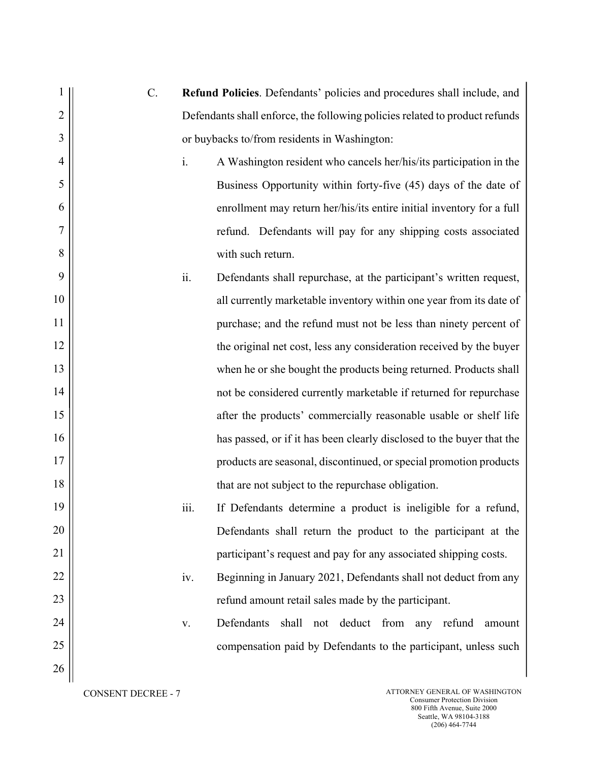| 1              | C. |      | Refund Policies. Defendants' policies and procedures shall include, and     |
|----------------|----|------|-----------------------------------------------------------------------------|
| $\overline{2}$ |    |      | Defendants shall enforce, the following policies related to product refunds |
| 3              |    |      | or buybacks to/from residents in Washington:                                |
| $\overline{4}$ |    | i.   | A Washington resident who cancels her/his/its participation in the          |
| 5              |    |      | Business Opportunity within forty-five (45) days of the date of             |
| 6              |    |      | enrollment may return her/his/its entire initial inventory for a full       |
| 7              |    |      | refund. Defendants will pay for any shipping costs associated               |
| 8              |    |      | with such return.                                                           |
| 9              |    | ii.  | Defendants shall repurchase, at the participant's written request,          |
| 10             |    |      | all currently marketable inventory within one year from its date of         |
| 11             |    |      | purchase; and the refund must not be less than ninety percent of            |
| 12             |    |      | the original net cost, less any consideration received by the buyer         |
| 13             |    |      | when he or she bought the products being returned. Products shall           |
| 14             |    |      | not be considered currently marketable if returned for repurchase           |
| 15             |    |      | after the products' commercially reasonable usable or shelf life            |
| 16             |    |      | has passed, or if it has been clearly disclosed to the buyer that the       |
| 17             |    |      | products are seasonal, discontinued, or special promotion products          |
| 18             |    |      | that are not subject to the repurchase obligation.                          |
| 19             |    | iii. | If Defendants determine a product is ineligible for a refund,               |
| 20             |    |      | Defendants shall return the product to the participant at the               |
| 21             |    |      | participant's request and pay for any associated shipping costs.            |
| 22             |    | iv.  | Beginning in January 2021, Defendants shall not deduct from any             |
| 23             |    |      | refund amount retail sales made by the participant.                         |
| 24             |    | V.   | Defendants<br>shall<br>not deduct from<br>any refund<br>amount              |
| 25             |    |      | compensation paid by Defendants to the participant, unless such             |
| 26             |    |      |                                                                             |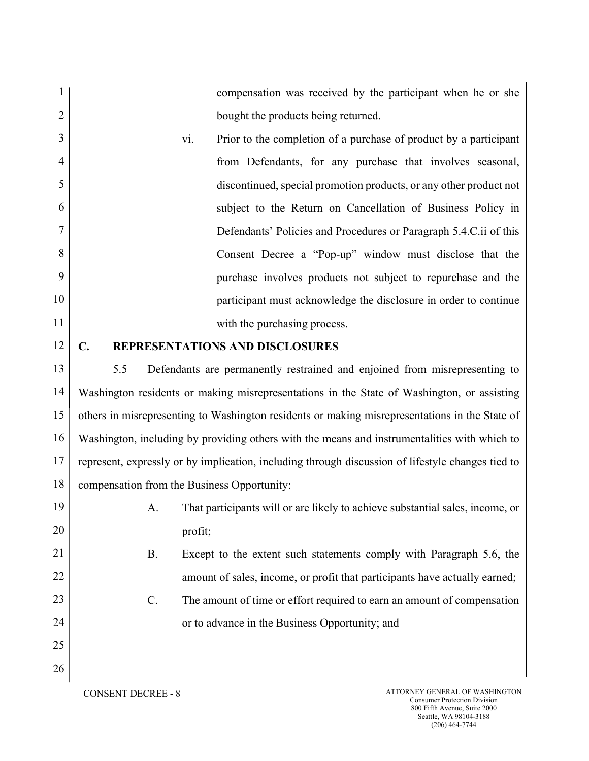compensation was received by the participant when he or she bought the products being returned.

vi. Prior to the completion of a purchase of product by a participant from Defendants, for any purchase that involves seasonal, discontinued, special promotion products, or any other product not subject to the Return on Cancellation of Business Policy in Defendants' Policies and Procedures or Paragraph 5.4.C.ii of this Consent Decree a "Pop-up" window must disclose that the purchase involves products not subject to repurchase and the participant must acknowledge the disclosure in order to continue with the purchasing process.

#### 12

1

2

3

4

5

6

7

8

9

10

11

## C. REPRESENTATIONS AND DISCLOSURES

13 14 15 16 17 18 5.5 Defendants are permanently restrained and enjoined from misrepresenting to Washington residents or making misrepresentations in the State of Washington, or assisting others in misrepresenting to Washington residents or making misrepresentations in the State of Washington, including by providing others with the means and instrumentalities with which to represent, expressly or by implication, including through discussion of lifestyle changes tied to compensation from the Business Opportunity:

- 19 20 21 22 23 24 25 26
- A. That participants will or are likely to achieve substantial sales, income, or profit;
- B. Except to the extent such statements comply with Paragraph 5.6, the amount of sales, income, or profit that participants have actually earned;
- C. The amount of time or effort required to earn an amount of compensation or to advance in the Business Opportunity; and
-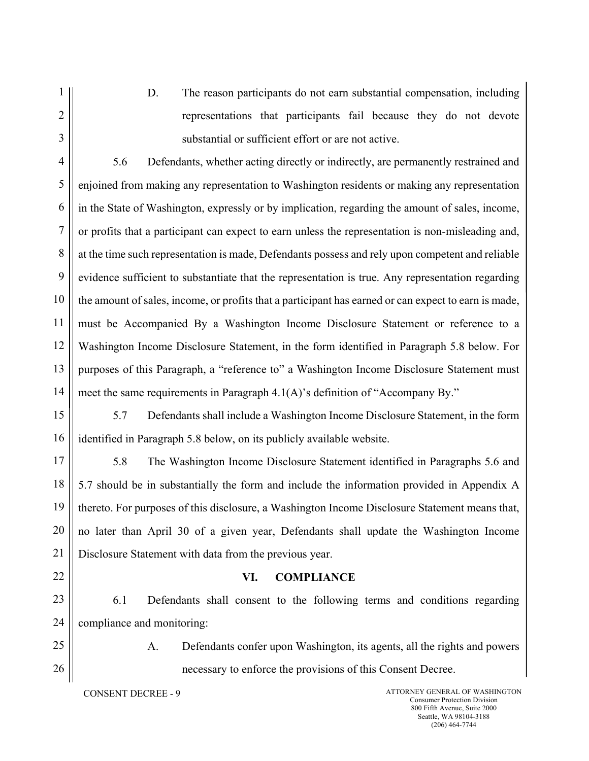2

3

1

- 
- D. The reason participants do not earn substantial compensation, including representations that participants fail because they do not devote substantial or sufficient effort or are not active.

4 5 6 7 8 9 10 11 12 13 14 5.6 Defendants, whether acting directly or indirectly, are permanently restrained and enjoined from making any representation to Washington residents or making any representation in the State of Washington, expressly or by implication, regarding the amount of sales, income, or profits that a participant can expect to earn unless the representation is non-misleading and, at the time such representation is made, Defendants possess and rely upon competent and reliable evidence sufficient to substantiate that the representation is true. Any representation regarding the amount of sales, income, or profits that a participant has earned or can expect to earn is made, must be Accompanied By a Washington Income Disclosure Statement or reference to a Washington Income Disclosure Statement, in the form identified in Paragraph 5.8 below. For purposes of this Paragraph, a "reference to" a Washington Income Disclosure Statement must meet the same requirements in Paragraph 4.1(A)'s definition of "Accompany By."

15 16 5.7 Defendants shall include a Washington Income Disclosure Statement, in the form identified in Paragraph 5.8 below, on its publicly available website.

17 18 19 20 21 5.8 The Washington Income Disclosure Statement identified in Paragraphs 5.6 and 5.7 should be in substantially the form and include the information provided in Appendix A thereto. For purposes of this disclosure, a Washington Income Disclosure Statement means that, no later than April 30 of a given year, Defendants shall update the Washington Income Disclosure Statement with data from the previous year.

VI. COMPLIANCE

- 22
- 23 24

25

26

A. Defendants confer upon Washington, its agents, all the rights and powers necessary to enforce the provisions of this Consent Decree.

6.1 Defendants shall consent to the following terms and conditions regarding

compliance and monitoring: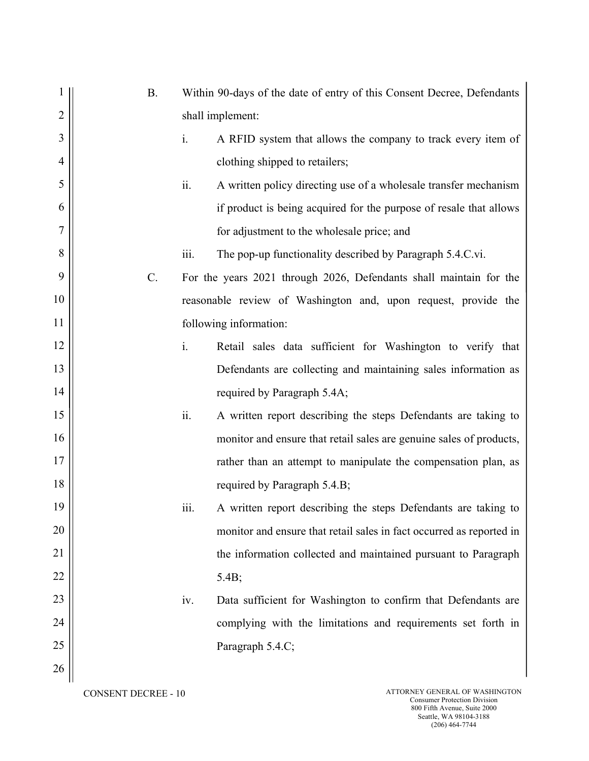|                | <b>B.</b> | Within 90-days of the date of entry of this Consent Decree, Defendants |
|----------------|-----------|------------------------------------------------------------------------|
| $\overline{2}$ |           | shall implement:                                                       |
| 3              | i.        | A RFID system that allows the company to track every item of           |
| $\overline{4}$ |           | clothing shipped to retailers;                                         |
| 5              | ii.       | A written policy directing use of a wholesale transfer mechanism       |
| 6              |           | if product is being acquired for the purpose of resale that allows     |
| $\overline{7}$ |           | for adjustment to the wholesale price; and                             |
| 8              | iii.      | The pop-up functionality described by Paragraph 5.4.C.vi.              |
| 9              | C.        | For the years 2021 through 2026, Defendants shall maintain for the     |
| 10             |           | reasonable review of Washington and, upon request, provide the         |
| 11             |           | following information:                                                 |
| 12             | i.        | Retail sales data sufficient for Washington to verify that             |
| 13             |           | Defendants are collecting and maintaining sales information as         |
| 14             |           | required by Paragraph 5.4A;                                            |
| 15             | ii.       | A written report describing the steps Defendants are taking to         |
| 16             |           | monitor and ensure that retail sales are genuine sales of products,    |
| 17             |           | rather than an attempt to manipulate the compensation plan, as         |
| 18             |           | required by Paragraph 5.4.B;                                           |
| 19             | iii.      | A written report describing the steps Defendants are taking to         |
| 20             |           | monitor and ensure that retail sales in fact occurred as reported in   |
| 21             |           | the information collected and maintained pursuant to Paragraph         |
| 22             |           | 5.4B;                                                                  |
| 23             | iv.       | Data sufficient for Washington to confirm that Defendants are          |
| 24             |           | complying with the limitations and requirements set forth in           |
| 25             |           | Paragraph 5.4.C;                                                       |
| 26             |           |                                                                        |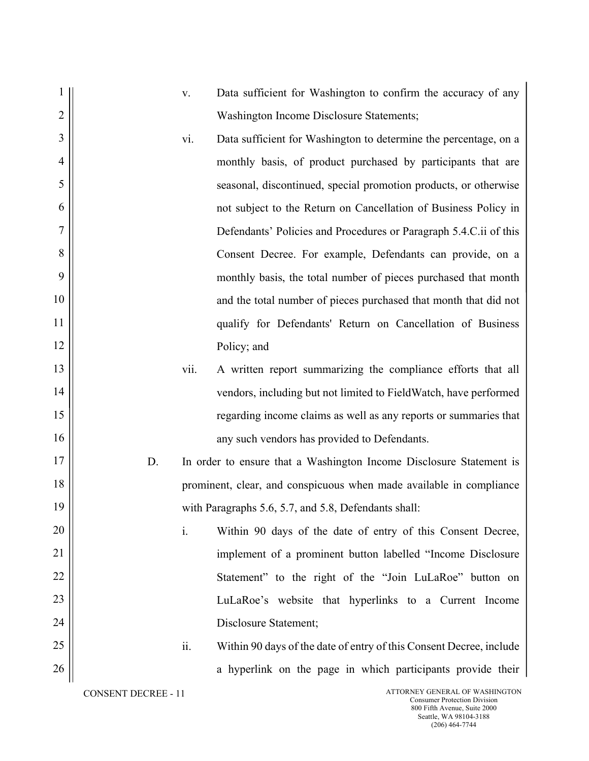|                |    | $\mathbf{V}$ . | Data sufficient for Washington to confirm the accuracy of any       |
|----------------|----|----------------|---------------------------------------------------------------------|
| $\overline{2}$ |    |                | Washington Income Disclosure Statements;                            |
| 3              |    | vi.            | Data sufficient for Washington to determine the percentage, on a    |
| $\overline{4}$ |    |                | monthly basis, of product purchased by participants that are        |
| 5              |    |                | seasonal, discontinued, special promotion products, or otherwise    |
| 6              |    |                | not subject to the Return on Cancellation of Business Policy in     |
| 7              |    |                | Defendants' Policies and Procedures or Paragraph 5.4.C.ii of this   |
| 8              |    |                | Consent Decree. For example, Defendants can provide, on a           |
| 9              |    |                | monthly basis, the total number of pieces purchased that month      |
| 10             |    |                | and the total number of pieces purchased that month that did not    |
| 11             |    |                | qualify for Defendants' Return on Cancellation of Business          |
| 12             |    |                | Policy; and                                                         |
| 13             |    | vii.           | A written report summarizing the compliance efforts that all        |
| 14             |    |                | vendors, including but not limited to FieldWatch, have performed    |
| 15             |    |                | regarding income claims as well as any reports or summaries that    |
| 16             |    |                | any such vendors has provided to Defendants.                        |
| 17             | D. |                | In order to ensure that a Washington Income Disclosure Statement is |
| 18             |    |                | prominent, clear, and conspicuous when made available in compliance |
| 19             |    |                | with Paragraphs 5.6, 5.7, and 5.8, Defendants shall:                |
| 20             |    | i.             | Within 90 days of the date of entry of this Consent Decree,         |
| 21             |    |                | implement of a prominent button labelled "Income Disclosure"        |
| 22             |    |                | Statement" to the right of the "Join LuLaRoe" button on             |
| 23             |    |                | LuLaRoe's website that hyperlinks to a Current Income               |
| 24             |    |                | Disclosure Statement;                                               |
| 25             |    | ii.            | Within 90 days of the date of entry of this Consent Decree, include |
| 26             |    |                | a hyperlink on the page in which participants provide their         |
|                |    |                |                                                                     |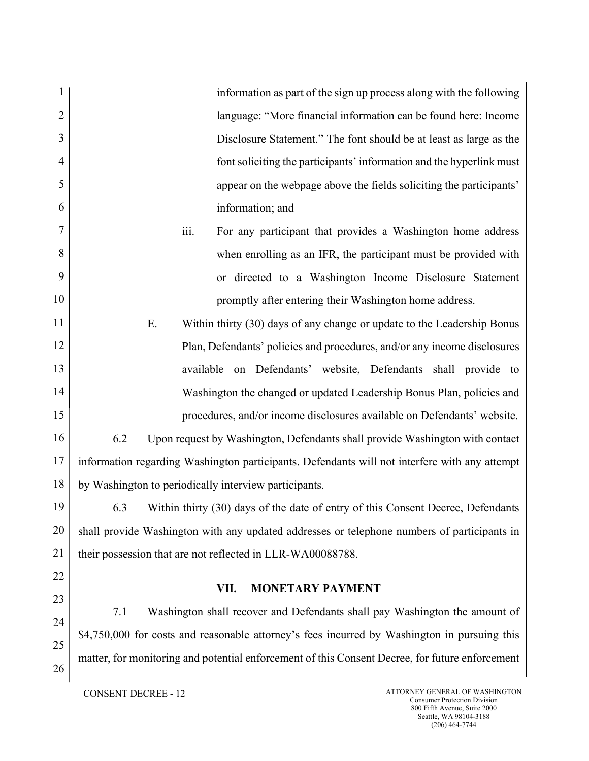information as part of the sign up process along with the following language: "More financial information can be found here: Income Disclosure Statement." The font should be at least as large as the font soliciting the participants' information and the hyperlink must appear on the webpage above the fields soliciting the participants' information; and iii. For any participant that provides a Washington home address

when enrolling as an IFR, the participant must be provided with or directed to a Washington Income Disclosure Statement promptly after entering their Washington home address.

E. Within thirty (30) days of any change or update to the Leadership Bonus Plan, Defendants' policies and procedures, and/or any income disclosures available on Defendants' website, Defendants shall provide to Washington the changed or updated Leadership Bonus Plan, policies and procedures, and/or income disclosures available on Defendants' website.

16 17 18 6.2 Upon request by Washington, Defendants shall provide Washington with contact information regarding Washington participants. Defendants will not interfere with any attempt by Washington to periodically interview participants.

19 20 21 6.3 Within thirty (30) days of the date of entry of this Consent Decree, Defendants shall provide Washington with any updated addresses or telephone numbers of participants in their possession that are not reflected in LLR-WA00088788.

# VII. MONETARY PAYMENT

7.1 Washington shall recover and Defendants shall pay Washington the amount of \$4,750,000 for costs and reasonable attorney's fees incurred by Washington in pursuing this matter, for monitoring and potential enforcement of this Consent Decree, for future enforcement

1

2

3

4

5

6

7

8

9

10

11

12

13

14

15

22

23

24

25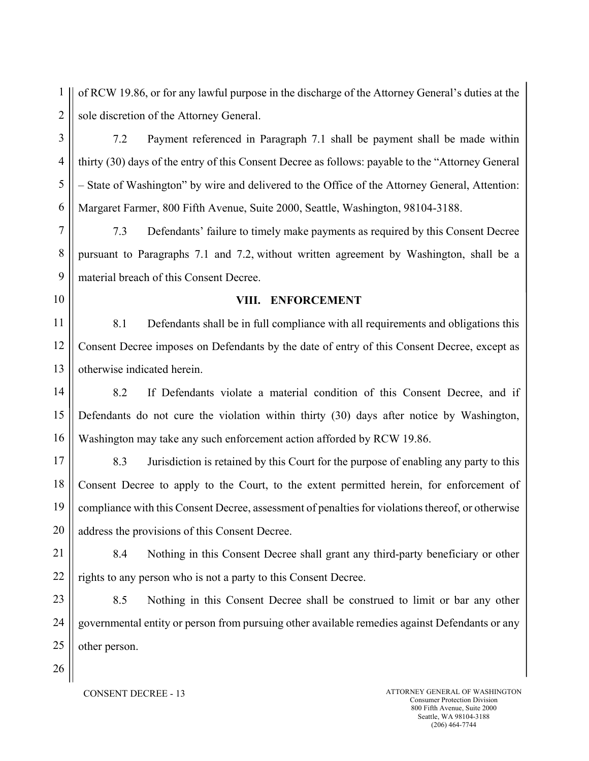1 2 of RCW 19.86, or for any lawful purpose in the discharge of the Attorney General's duties at the sole discretion of the Attorney General.

3 4 5 6 7.2 Payment referenced in Paragraph 7.1 shall be payment shall be made within thirty (30) days of the entry of this Consent Decree as follows: payable to the "Attorney General – State of Washington" by wire and delivered to the Office of the Attorney General, Attention: Margaret Farmer, 800 Fifth Avenue, Suite 2000, Seattle, Washington, 98104-3188.

7 8 9 7.3 Defendants' failure to timely make payments as required by this Consent Decree pursuant to Paragraphs 7.1 and 7.2, without written agreement by Washington, shall be a material breach of this Consent Decree.

#### 10

#### VIII. ENFORCEMENT

11 12 13 8.1 Defendants shall be in full compliance with all requirements and obligations this Consent Decree imposes on Defendants by the date of entry of this Consent Decree, except as otherwise indicated herein.

14 15 16 8.2 If Defendants violate a material condition of this Consent Decree, and if Defendants do not cure the violation within thirty (30) days after notice by Washington, Washington may take any such enforcement action afforded by RCW 19.86.

17 18 19 20 8.3 Jurisdiction is retained by this Court for the purpose of enabling any party to this Consent Decree to apply to the Court, to the extent permitted herein, for enforcement of compliance with this Consent Decree, assessment of penalties for violations thereof, or otherwise address the provisions of this Consent Decree.

21 22 8.4 Nothing in this Consent Decree shall grant any third-party beneficiary or other rights to any person who is not a party to this Consent Decree.

23 24 25 8.5 Nothing in this Consent Decree shall be construed to limit or bar any other governmental entity or person from pursuing other available remedies against Defendants or any other person.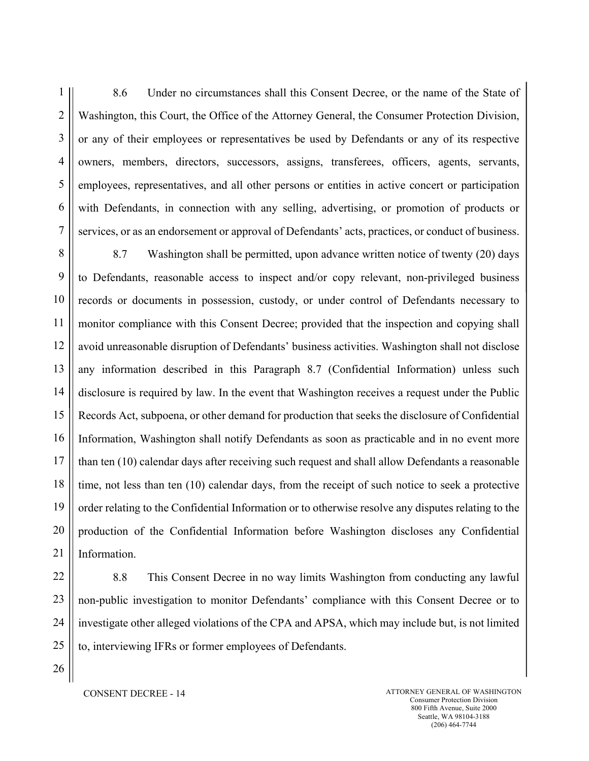1 2 3 4 5 6 7 8.6 Under no circumstances shall this Consent Decree, or the name of the State of Washington, this Court, the Office of the Attorney General, the Consumer Protection Division, or any of their employees or representatives be used by Defendants or any of its respective owners, members, directors, successors, assigns, transferees, officers, agents, servants, employees, representatives, and all other persons or entities in active concert or participation with Defendants, in connection with any selling, advertising, or promotion of products or services, or as an endorsement or approval of Defendants' acts, practices, or conduct of business.

8 9 10 11 12 13 14 15 16 17 18 19 20 21 8.7 Washington shall be permitted, upon advance written notice of twenty (20) days to Defendants, reasonable access to inspect and/or copy relevant, non-privileged business records or documents in possession, custody, or under control of Defendants necessary to monitor compliance with this Consent Decree; provided that the inspection and copying shall avoid unreasonable disruption of Defendants' business activities. Washington shall not disclose any information described in this Paragraph 8.7 (Confidential Information) unless such disclosure is required by law. In the event that Washington receives a request under the Public Records Act, subpoena, or other demand for production that seeks the disclosure of Confidential Information, Washington shall notify Defendants as soon as practicable and in no event more than ten (10) calendar days after receiving such request and shall allow Defendants a reasonable time, not less than ten (10) calendar days, from the receipt of such notice to seek a protective order relating to the Confidential Information or to otherwise resolve any disputes relating to the production of the Confidential Information before Washington discloses any Confidential Information.

8.8 This Consent Decree in no way limits Washington from conducting any lawful non-public investigation to monitor Defendants' compliance with this Consent Decree or to investigate other alleged violations of the CPA and APSA, which may include but, is not limited to, interviewing IFRs or former employees of Defendants.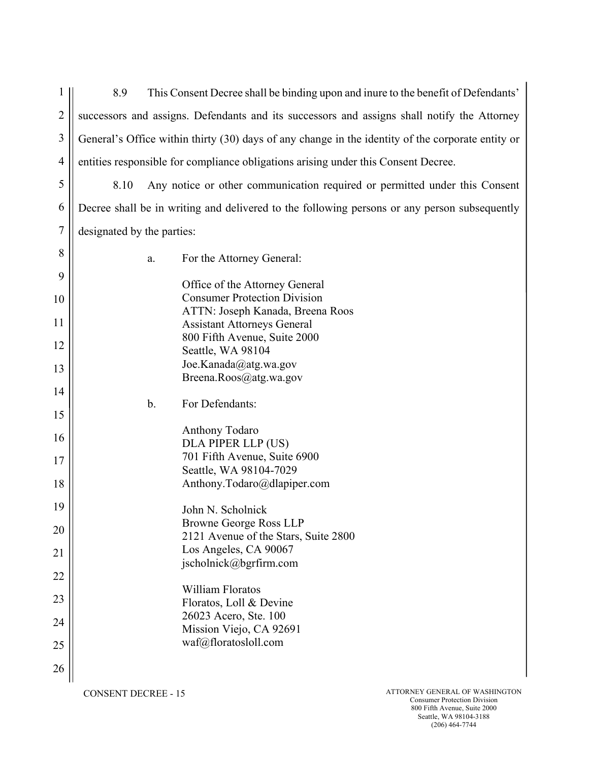$1$  || 2 3 4 8.9 This Consent Decree shall be binding upon and inure to the benefit of Defendants' successors and assigns. Defendants and its successors and assigns shall notify the Attorney General's Office within thirty (30) days of any change in the identity of the corporate entity or entities responsible for compliance obligations arising under this Consent Decree.

5 6 7 8.10 Any notice or other communication required or permitted under this Consent Decree shall be in writing and delivered to the following persons or any person subsequently designated by the parties:

| 8  | a.    | For the Attorney General:                                              |
|----|-------|------------------------------------------------------------------------|
| 9  |       | Office of the Attorney General                                         |
| 10 |       | <b>Consumer Protection Division</b>                                    |
| 11 |       | ATTN: Joseph Kanada, Breena Roos<br><b>Assistant Attorneys General</b> |
| 12 |       | 800 Fifth Avenue, Suite 2000<br>Seattle, WA 98104                      |
| 13 |       | Joe.Kanada@atg.wa.gov<br>Breena.Roos@atg.wa.gov                        |
| 14 |       |                                                                        |
| 15 | $b$ . | For Defendants:                                                        |
| 16 |       | Anthony Todaro<br>DLA PIPER LLP (US)                                   |
| 17 |       | 701 Fifth Avenue, Suite 6900<br>Seattle, WA 98104-7029                 |
| 18 |       | Anthony.Todaro@dlapiper.com                                            |
| 19 |       | John N. Scholnick                                                      |
| 20 |       | Browne George Ross LLP<br>2121 Avenue of the Stars, Suite 2800         |
| 21 |       | Los Angeles, CA 90067                                                  |
| 22 |       | jscholnick@bgrfirm.com                                                 |
| 23 |       | William Floratos<br>Floratos, Loll & Devine                            |
| 24 |       | 26023 Acero, Ste. 100<br>Mission Viejo, CA 92691                       |
| 25 |       | waf@floratosloll.com                                                   |
| 26 |       |                                                                        |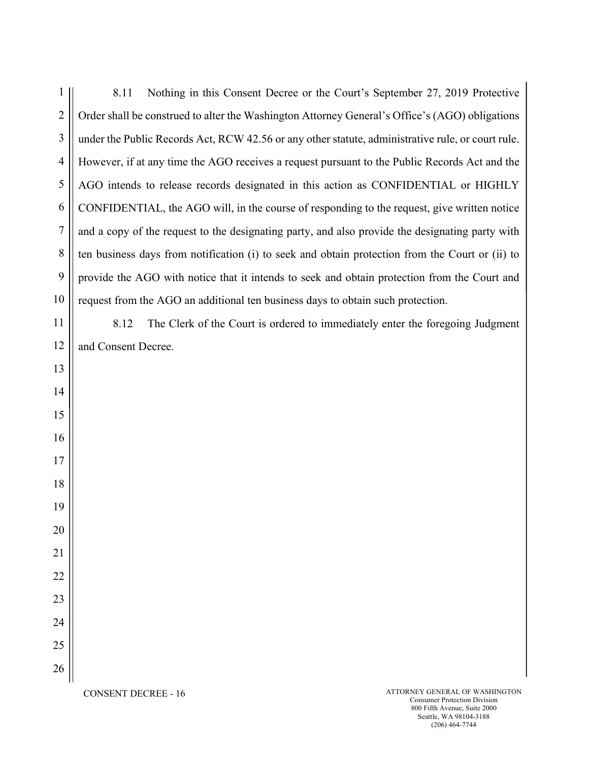| 1              | Nothing in this Consent Decree or the Court's September 27, 2019 Protective<br>8.11               |
|----------------|---------------------------------------------------------------------------------------------------|
| $\overline{2}$ | Order shall be construed to alter the Washington Attorney General's Office's (AGO) obligations    |
| 3              | under the Public Records Act, RCW 42.56 or any other statute, administrative rule, or court rule. |
| $\overline{4}$ | However, if at any time the AGO receives a request pursuant to the Public Records Act and the     |
| 5              | AGO intends to release records designated in this action as CONFIDENTIAL or HIGHLY                |
| 6              | CONFIDENTIAL, the AGO will, in the course of responding to the request, give written notice       |
| 7              | and a copy of the request to the designating party, and also provide the designating party with   |
| 8              | ten business days from notification (i) to seek and obtain protection from the Court or (ii) to   |
| 9              | provide the AGO with notice that it intends to seek and obtain protection from the Court and      |
| 10             | request from the AGO an additional ten business days to obtain such protection.                   |
| 11             | 8.12<br>The Clerk of the Court is ordered to immediately enter the foregoing Judgment             |
| 12             | and Consent Decree.                                                                               |
| 13             |                                                                                                   |
| 14             |                                                                                                   |
| 15             |                                                                                                   |
| 16             |                                                                                                   |
| 17             |                                                                                                   |
| 18             |                                                                                                   |
| 19             |                                                                                                   |
| 20             |                                                                                                   |
| 21             |                                                                                                   |
| 22             |                                                                                                   |
| 23             |                                                                                                   |
| 24             |                                                                                                   |
| 25             |                                                                                                   |
| 26             |                                                                                                   |
|                | ATTORNEY GENERAL OF WASHINGTON<br>$CONSENT DECBFE - 16$                                           |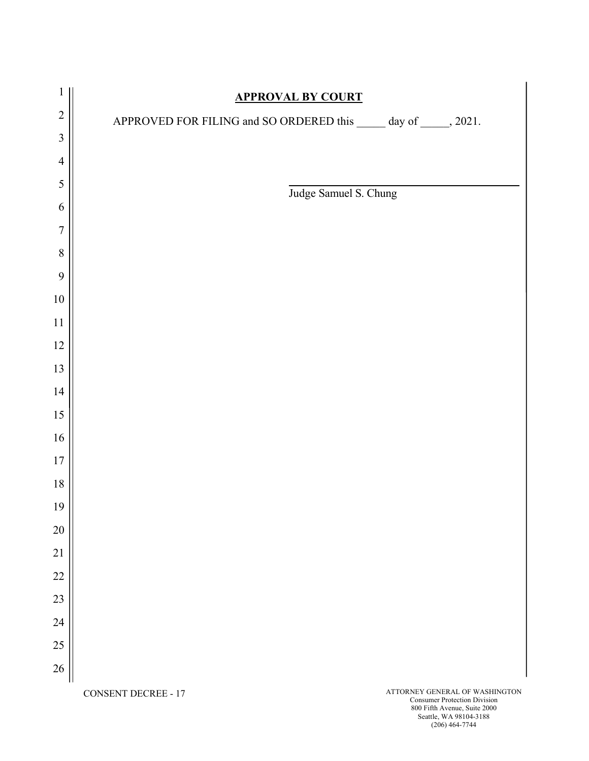| 1                       |                            | <b>APPROVAL BY COURT</b>                                            |
|-------------------------|----------------------------|---------------------------------------------------------------------|
| $\overline{2}$          |                            | APPROVED FOR FILING and SO ORDERED this ______ day of ______, 2021. |
| $\overline{\mathbf{3}}$ |                            |                                                                     |
| $\overline{4}$          |                            |                                                                     |
| 5                       |                            | Judge Samuel S. Chung                                               |
| 6                       |                            |                                                                     |
| $\overline{7}$          |                            |                                                                     |
| $\,8\,$                 |                            |                                                                     |
| 9                       |                            |                                                                     |
| $10\,$                  |                            |                                                                     |
| $11\,$                  |                            |                                                                     |
| $12\,$                  |                            |                                                                     |
| 13                      |                            |                                                                     |
| 14                      |                            |                                                                     |
| $15\,$                  |                            |                                                                     |
| $16\,$                  |                            |                                                                     |
| $17\,$                  |                            |                                                                     |
| $18\,$                  |                            |                                                                     |
| $19\,$                  |                            |                                                                     |
| 20                      |                            |                                                                     |
| $21\,$                  |                            |                                                                     |
| 22                      |                            |                                                                     |
| 23                      |                            |                                                                     |
| 24                      |                            |                                                                     |
| $25\,$                  |                            |                                                                     |
| 26                      |                            |                                                                     |
|                         | <b>CONSENT DECREE - 17</b> | ATTORNEY GENERAL OF WASHINGTON                                      |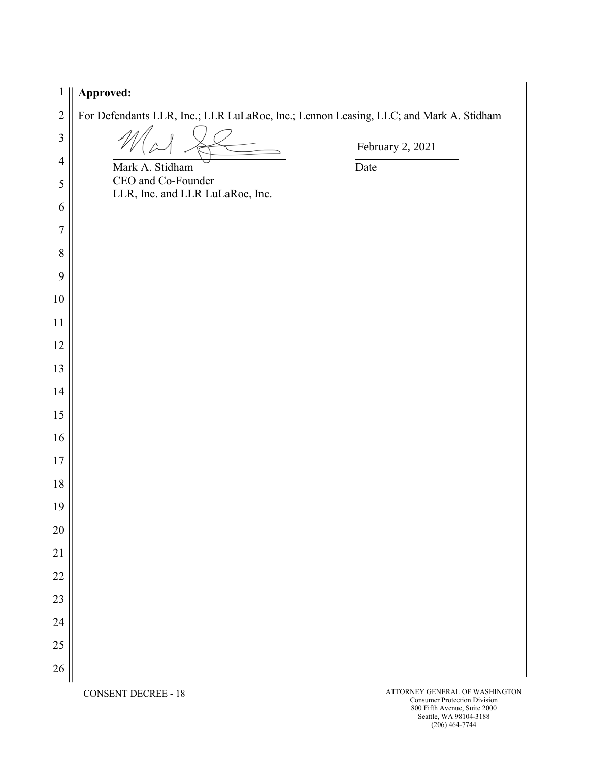| $\mathbf{1}$   | Approved:                                                                             |                                                                       |
|----------------|---------------------------------------------------------------------------------------|-----------------------------------------------------------------------|
| $\sqrt{2}$     | For Defendants LLR, Inc.; LLR LuLaRoe, Inc.; Lennon Leasing, LLC; and Mark A. Stidham |                                                                       |
| $\mathfrak{Z}$ |                                                                                       | February 2, 2021                                                      |
| $\overline{4}$ | Mark A. Stidham                                                                       | Date                                                                  |
| $\mathfrak{S}$ | CEO and Co-Founder<br>LLR, Inc. and LLR LuLaRoe, Inc.                                 |                                                                       |
| 6              |                                                                                       |                                                                       |
| $\overline{7}$ |                                                                                       |                                                                       |
| $8\,$          |                                                                                       |                                                                       |
| 9              |                                                                                       |                                                                       |
| 10             |                                                                                       |                                                                       |
| 11             |                                                                                       |                                                                       |
| 12             |                                                                                       |                                                                       |
| 13             |                                                                                       |                                                                       |
| 14             |                                                                                       |                                                                       |
| 15             |                                                                                       |                                                                       |
| 16             |                                                                                       |                                                                       |
| 17             |                                                                                       |                                                                       |
| 18             |                                                                                       |                                                                       |
| 19             |                                                                                       |                                                                       |
| 20             |                                                                                       |                                                                       |
| 21             |                                                                                       |                                                                       |
| 22             |                                                                                       |                                                                       |
| 23             |                                                                                       |                                                                       |
| 24             |                                                                                       |                                                                       |
| 25             |                                                                                       |                                                                       |
| 26             |                                                                                       |                                                                       |
|                | <b>CONSENT DECREE - 18</b>                                                            | ATTORNEY GENERAL OF WASHINGTON<br><b>Consumer Protection Division</b> |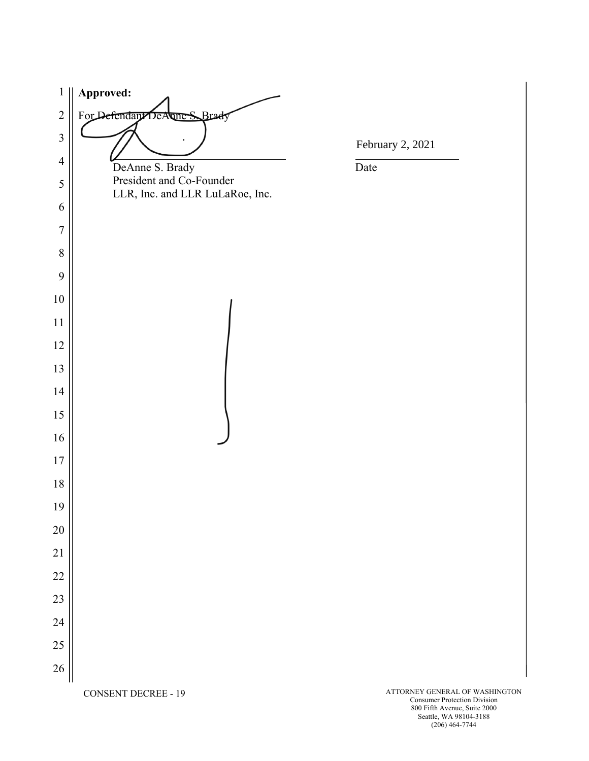**Approved:**  For Defendant DeAnne S. Brady  $\overline{a}$ February 2, 2021 DeAnne S. Brady Date President and Co-Founder LLR, Inc. and LLR LuLaRoe, Inc. CONSENT DECREE - 19 ATTORNEY GENERAL OF WASHINGTON

Consumer Protection Division 800 Fifth Avenue, Suite 2000 Seattle, WA 98104-3188 (206) 464-7744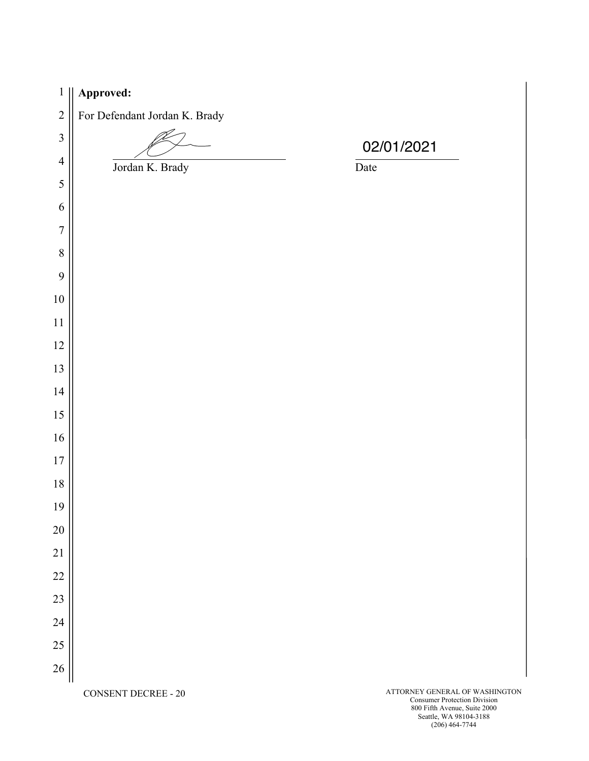| $\mathbf{1}$     | Approved:                     |                                                                       |
|------------------|-------------------------------|-----------------------------------------------------------------------|
| $\overline{c}$   | For Defendant Jordan K. Brady |                                                                       |
| $\overline{3}$   |                               | 02/01/2021                                                            |
| $\overline{4}$   | Jordan K. Brady               | Date                                                                  |
| $\mathfrak s$    |                               |                                                                       |
| 6                |                               |                                                                       |
| $\boldsymbol{7}$ |                               |                                                                       |
| $\,8\,$          |                               |                                                                       |
| 9                |                               |                                                                       |
| $10\,$           |                               |                                                                       |
| $11\,$           |                               |                                                                       |
| $12\,$           |                               |                                                                       |
| 13               |                               |                                                                       |
| 14               |                               |                                                                       |
| 15               |                               |                                                                       |
| 16               |                               |                                                                       |
| $17\,$           |                               |                                                                       |
| 18               |                               |                                                                       |
| 19               |                               |                                                                       |
| 20               |                               |                                                                       |
| 21               |                               |                                                                       |
| 22               |                               |                                                                       |
| 23               |                               |                                                                       |
| 24               |                               |                                                                       |
| $25\,$           |                               |                                                                       |
| 26               |                               |                                                                       |
|                  | <b>CONSENT DECREE - 20</b>    | ATTORNEY GENERAL OF WASHINGTON<br><b>Consumer Protection Division</b> |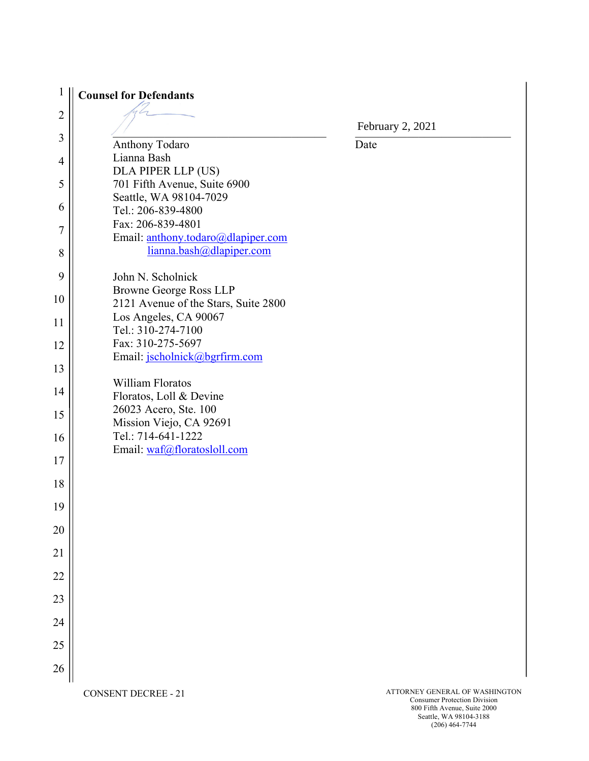| $\mathbf{1}$   | <b>Counsel for Defendants</b>                                  |                  |
|----------------|----------------------------------------------------------------|------------------|
| $\overline{2}$ |                                                                | February 2, 2021 |
| 3              | Anthony Todaro                                                 | Date             |
|                | Lianna Bash                                                    |                  |
| $\overline{4}$ | DLA PIPER LLP (US)                                             |                  |
| 5              | 701 Fifth Avenue, Suite 6900                                   |                  |
|                | Seattle, WA 98104-7029                                         |                  |
| 6              | Tel.: 206-839-4800                                             |                  |
| 7              | Fax: 206-839-4801                                              |                  |
|                | Email: anthony.todaro@dlapiper.com<br>lianna.bash@dlapiper.com |                  |
| 8              |                                                                |                  |
| 9              | John N. Scholnick                                              |                  |
| 10             | Browne George Ross LLP                                         |                  |
|                | 2121 Avenue of the Stars, Suite 2800                           |                  |
| 11             | Los Angeles, CA 90067<br>Tel.: 310-274-7100                    |                  |
| 12             | Fax: 310-275-5697                                              |                  |
|                | Email: jscholnick@bgrfirm.com                                  |                  |
| 13             |                                                                |                  |
| 14             | William Floratos                                               |                  |
|                | Floratos, Loll & Devine                                        |                  |
| 15             | 26023 Acero, Ste. 100<br>Mission Viejo, CA 92691               |                  |
| 16             | Tel.: 714-641-1222                                             |                  |
|                | Email: waf@floratosloll.com                                    |                  |
| 17             |                                                                |                  |
| 18             |                                                                |                  |
|                |                                                                |                  |
| 19             |                                                                |                  |
| 20             |                                                                |                  |
|                |                                                                |                  |
| 21             |                                                                |                  |
| 22             |                                                                |                  |
|                |                                                                |                  |
| 23             |                                                                |                  |
| 24             |                                                                |                  |
|                |                                                                |                  |
| 25             |                                                                |                  |
| 26             |                                                                |                  |
|                |                                                                |                  |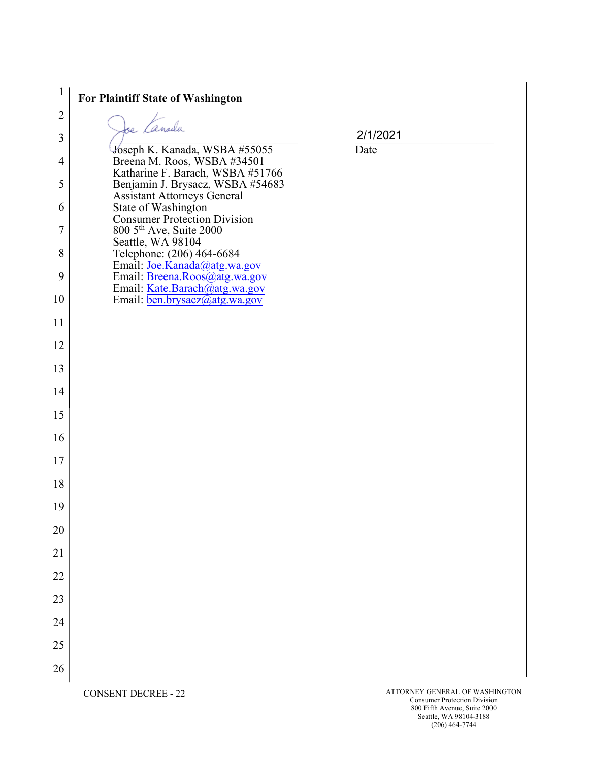| 1              | For Plaintiff State of Washington                                                                          |                                    |
|----------------|------------------------------------------------------------------------------------------------------------|------------------------------------|
| $\sqrt{2}$     | se Canada                                                                                                  |                                    |
| $\overline{3}$ |                                                                                                            | 2/1/2021                           |
| $\overline{4}$ | Joseph K. Kanada, WSBA #55055<br>Breena M. Roos, WSBA #34501                                               | Date                               |
| 5              | Katharine F. Barach, WSBA #51766<br>Benjamin J. Brysacz, WSBA #54683<br><b>Assistant Attorneys General</b> |                                    |
| 6              | State of Washington                                                                                        |                                    |
| $\overline{7}$ | <b>Consumer Protection Division</b><br>800 5 <sup>th</sup> Ave, Suite 2000<br>Seattle, WA 98104            |                                    |
| 8              | Telephone: (206) 464-6684<br>Email: Joe.Kanada@atg.wa.gov                                                  |                                    |
| 9              | Email: Breena.Roos@atg.wa.gov<br>Email: Kate.Barach@atg.wa.gov                                             |                                    |
| 10             | Email: ben.brysacz@atg.wa.gov                                                                              |                                    |
| 11             |                                                                                                            |                                    |
| 12             |                                                                                                            |                                    |
| 13             |                                                                                                            |                                    |
| 14             |                                                                                                            |                                    |
| 15             |                                                                                                            |                                    |
| 16             |                                                                                                            |                                    |
| 17             |                                                                                                            |                                    |
| 18             |                                                                                                            |                                    |
| 19             |                                                                                                            |                                    |
| 20             |                                                                                                            |                                    |
| 21             |                                                                                                            |                                    |
| 22             |                                                                                                            |                                    |
| 23             |                                                                                                            |                                    |
| 24             |                                                                                                            |                                    |
| 25             |                                                                                                            |                                    |
| 26             |                                                                                                            |                                    |
|                |                                                                                                            | <b>ATTORNEY GENERAL OF WASHING</b> |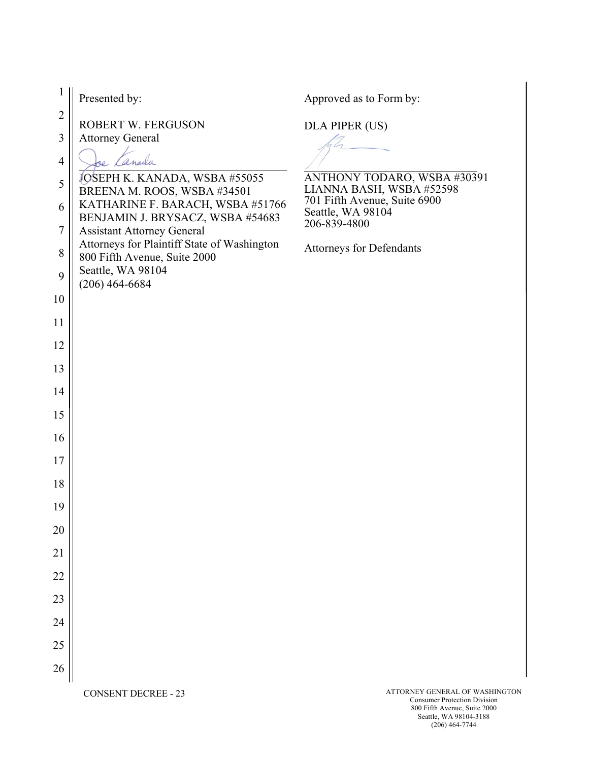| $\mathbf{1}$     | Presented by:                                                               | Approved as to Form by:                                                                 |
|------------------|-----------------------------------------------------------------------------|-----------------------------------------------------------------------------------------|
| $\sqrt{2}$       | ROBERT W. FERGUSON                                                          | DLA PIPER (US)                                                                          |
| $\mathfrak{Z}$   | <b>Attorney General</b>                                                     |                                                                                         |
| $\overline{4}$   | anada                                                                       |                                                                                         |
| 5                | JOSEPH K. KANADA, WSBA #55055<br>BREENA M. ROOS, WSBA #34501                | ANTHONY TODARO, WSBA #30391<br>LIANNA BASH, WSBA #52598<br>701 Fifth Avenue, Suite 6900 |
| 6                | KATHARINE F. BARACH, WSBA #51766<br>BENJAMIN J. BRYSACZ, WSBA #54683        | Seattle, WA 98104                                                                       |
| $\boldsymbol{7}$ | <b>Assistant Attorney General</b>                                           | 206-839-4800                                                                            |
| $8\,$            | Attorneys for Plaintiff State of Washington<br>800 Fifth Avenue, Suite 2000 | <b>Attorneys for Defendants</b>                                                         |
| 9                | Seattle, WA 98104<br>$(206)$ 464-6684                                       |                                                                                         |
| 10               |                                                                             |                                                                                         |
| 11               |                                                                             |                                                                                         |
| 12               |                                                                             |                                                                                         |
| 13               |                                                                             |                                                                                         |
| 14               |                                                                             |                                                                                         |
| 15               |                                                                             |                                                                                         |
| 16               |                                                                             |                                                                                         |
| 17               |                                                                             |                                                                                         |
| 18               |                                                                             |                                                                                         |
| 19               |                                                                             |                                                                                         |
| 20               |                                                                             |                                                                                         |
| 21               |                                                                             |                                                                                         |
| 22               |                                                                             |                                                                                         |
| 23               |                                                                             |                                                                                         |
| 24               |                                                                             |                                                                                         |
| 25               |                                                                             |                                                                                         |
| 26               |                                                                             |                                                                                         |
|                  |                                                                             |                                                                                         |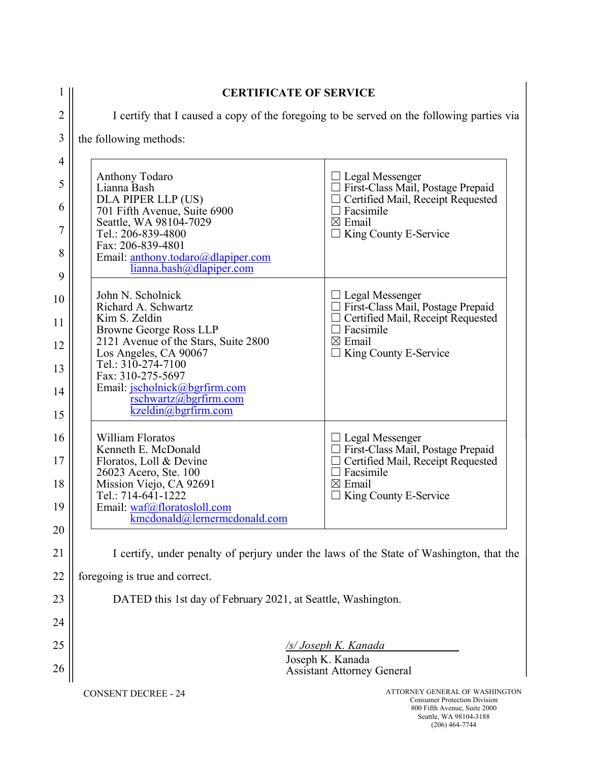| 1              | <b>CERTIFICATE OF SERVICE</b>                                                             |                                                                |  |  |  |
|----------------|-------------------------------------------------------------------------------------------|----------------------------------------------------------------|--|--|--|
| $\overline{c}$ | I certify that I caused a copy of the foregoing to be served on the following parties via |                                                                |  |  |  |
| 3              | the following methods:                                                                    |                                                                |  |  |  |
| $\overline{4}$ |                                                                                           |                                                                |  |  |  |
| 5              | <b>Anthony Todaro</b><br>Lianna Bash                                                      | $\Box$ Legal Messenger<br>□ First-Class Mail, Postage Prepaid  |  |  |  |
| 6              | DLA PIPER LLP (US)<br>701 Fifth Avenue, Suite 6900                                        | $\Box$ Certified Mail, Receipt Requested<br>$\Box$ Facsimile   |  |  |  |
| 7              | Seattle, WA 98104-7029<br>Tel.: 206-839-4800                                              | $\boxtimes$ Email<br>$\Box$ King County E-Service              |  |  |  |
| 8              | Fax: 206-839-4801<br>Email: anthony.todaro@dlapiper.com<br>lianna.bash@dlapiper.com       |                                                                |  |  |  |
| 9              |                                                                                           |                                                                |  |  |  |
| 10             | John N. Scholnick<br>Richard A. Schwartz                                                  | $\Box$ Legal Messenger<br>First-Class Mail, Postage Prepaid    |  |  |  |
| 11             | Kim S. Zeldin<br><b>Browne George Ross LLP</b>                                            | Certified Mail, Receipt Requested<br>□ Facsimile               |  |  |  |
| 12             | 2121 Avenue of the Stars, Suite 2800<br>Los Angeles, CA 90067                             | $\boxtimes$ Email<br>King County E-Service                     |  |  |  |
| 13             | Tel.: 310-274-7100<br>Fax: 310-275-5697                                                   |                                                                |  |  |  |
| 14             | Email: jscholnick@bgrfirm.com<br>rschwartz@bgrfirm.com<br>kzeldin@bgrfirm.com             |                                                                |  |  |  |
| 15             |                                                                                           |                                                                |  |  |  |
| 16             | William Floratos<br>Kenneth E. McDonald                                                   | □ Legal Messenger<br>□ First-Class Mail, Postage Prepaid       |  |  |  |
| 17             | Floratos, Loll & Devine<br>26023 Acero, Ste. 100                                          | Certified Mail, Receipt Requested<br>$\Box$ Facsimile          |  |  |  |
| 18             | Mission Viejo, CA 92691<br>Tel.: 714-641-1222                                             | $\boxtimes$ Email<br>King County E-Service                     |  |  |  |
| 19             | Email: waf@floratosloll.com<br>kmcdonald@lernermcdonald.com                               |                                                                |  |  |  |
| 20             |                                                                                           |                                                                |  |  |  |
| 21             | I certify, under penalty of perjury under the laws of the State of Washington, that the   |                                                                |  |  |  |
| 22             | foregoing is true and correct.                                                            |                                                                |  |  |  |
| 23             | DATED this 1st day of February 2021, at Seattle, Washington.                              |                                                                |  |  |  |
| 24             |                                                                                           |                                                                |  |  |  |
| 25             | <b>/s/ Joseph K. Kanada</b><br>Joseph K. Kanada                                           |                                                                |  |  |  |
|                | 26<br><b>Assistant Attorney General</b>                                                   |                                                                |  |  |  |
|                | <b>CONSENT DECREE - 24</b>                                                                | ATTORNEY GENERAL OF WASHINGTON<br>Consumer Protection Division |  |  |  |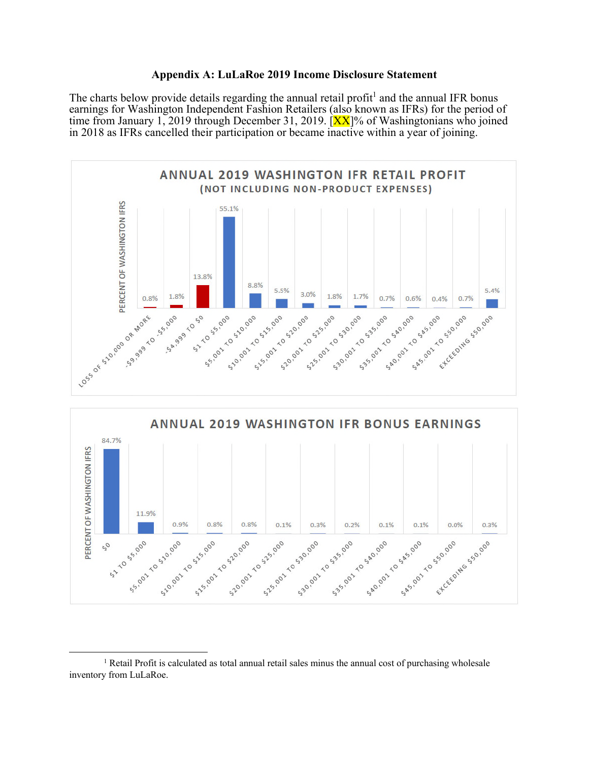#### Appendix A: LuLaRoe 2019 Income Disclosure Statement

The charts below provide details regarding the annual retail profit<sup>1</sup> and the annual IFR bonus earnings for Washington Independent Fashion Retailers (also known as IFRs) for the period of time from January 1, 2019 through December 31, 2019.  $|\mathbf{XX}|$ % of Washingtonians who joined in 2018 as IFRs cancelled their participation or became inactive within a year of joining.





<sup>&</sup>lt;sup>1</sup> Retail Profit is calculated as total annual retail sales minus the annual cost of purchasing wholesale inventory from LuLaRoe.